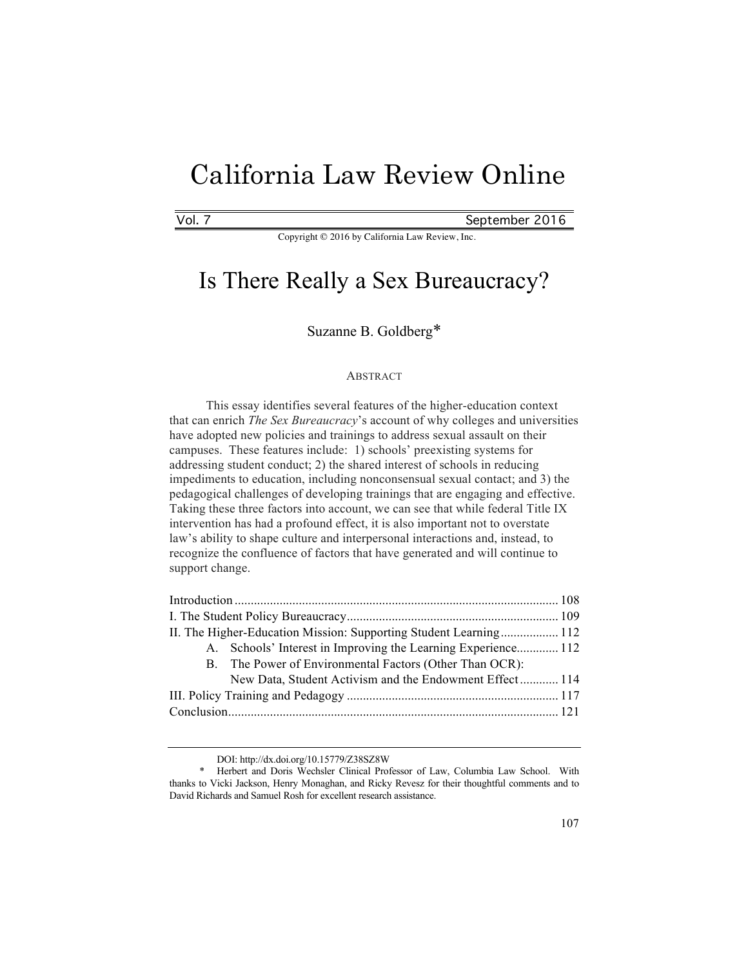# California Law Review Online

Vol. 7 September 2016

Copyright © 2016 by California Law Review, Inc.

## Is There Really a Sex Bureaucracy?

### Suzanne B. Goldberg\*

#### ABSTRACT

This essay identifies several features of the higher-education context that can enrich *The Sex Bureaucracy*'s account of why colleges and universities have adopted new policies and trainings to address sexual assault on their campuses. These features include: 1) schools' preexisting systems for addressing student conduct; 2) the shared interest of schools in reducing impediments to education, including nonconsensual sexual contact; and 3) the pedagogical challenges of developing trainings that are engaging and effective. Taking these three factors into account, we can see that while federal Title IX intervention has had a profound effect, it is also important not to overstate law's ability to shape culture and interpersonal interactions and, instead, to recognize the confluence of factors that have generated and will continue to support change.

| II. The Higher-Education Mission: Supporting Student Learning 112 |                                                               |  |
|-------------------------------------------------------------------|---------------------------------------------------------------|--|
|                                                                   | A. Schools' Interest in Improving the Learning Experience 112 |  |
|                                                                   | B. The Power of Environmental Factors (Other Than OCR):       |  |
|                                                                   | New Data, Student Activism and the Endowment Effect 114       |  |
|                                                                   |                                                               |  |
|                                                                   |                                                               |  |
|                                                                   |                                                               |  |

DOI: http://dx.doi.org/10.15779/Z38SZ8W

<sup>\*</sup> Herbert and Doris Wechsler Clinical Professor of Law, Columbia Law School. With thanks to Vicki Jackson, Henry Monaghan, and Ricky Revesz for their thoughtful comments and to David Richards and Samuel Rosh for excellent research assistance.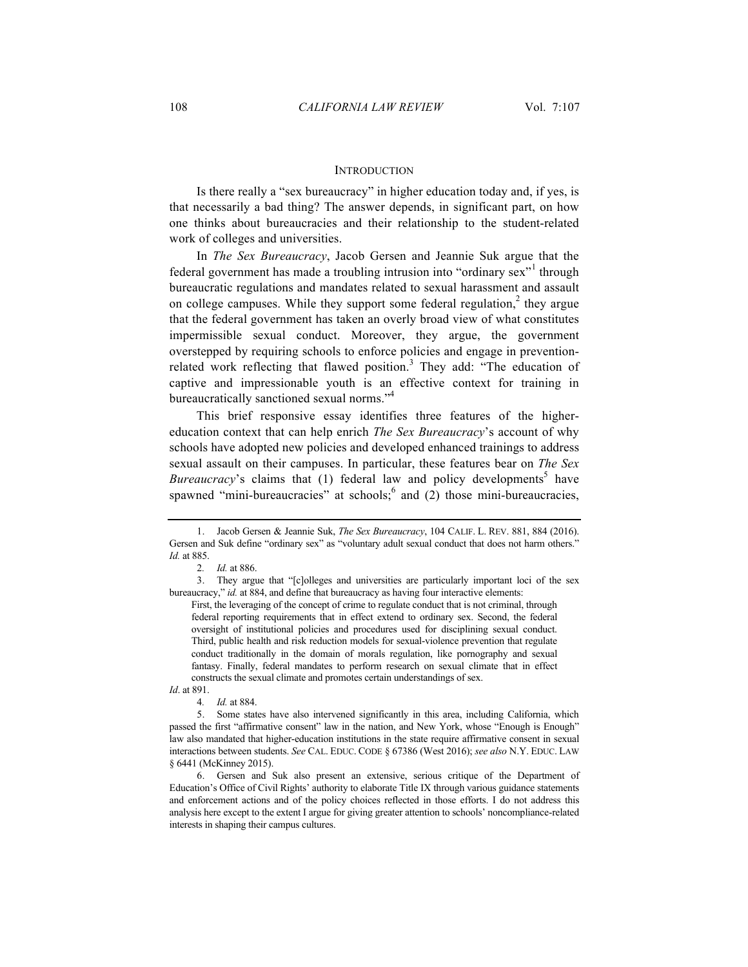#### **INTRODUCTION**

Is there really a "sex bureaucracy" in higher education today and, if yes, is that necessarily a bad thing? The answer depends, in significant part, on how one thinks about bureaucracies and their relationship to the student-related work of colleges and universities.

In *The Sex Bureaucracy*, Jacob Gersen and Jeannie Suk argue that the federal government has made a troubling intrusion into "ordinary sex" through bureaucratic regulations and mandates related to sexual harassment and assault on college campuses. While they support some federal regulation,<sup>2</sup> they argue that the federal government has taken an overly broad view of what constitutes impermissible sexual conduct. Moreover, they argue, the government overstepped by requiring schools to enforce policies and engage in preventionrelated work reflecting that flawed position.<sup>3</sup> They add: "The education of captive and impressionable youth is an effective context for training in bureaucratically sanctioned sexual norms."<sup>4</sup>

This brief responsive essay identifies three features of the highereducation context that can help enrich *The Sex Bureaucracy*'s account of why schools have adopted new policies and developed enhanced trainings to address sexual assault on their campuses. In particular, these features bear on *The Sex Bureaucracy*'s claims that (1) federal law and policy developments<sup>5</sup> have spawned "mini-bureaucracies" at schools; and (2) those mini-bureaucracies,

*Id*. at 891.

4*. Id.* at 884.

6. Gersen and Suk also present an extensive, serious critique of the Department of Education's Office of Civil Rights' authority to elaborate Title IX through various guidance statements and enforcement actions and of the policy choices reflected in those efforts. I do not address this analysis here except to the extent I argue for giving greater attention to schools' noncompliance-related interests in shaping their campus cultures.

<sup>1.</sup> Jacob Gersen & Jeannie Suk, *The Sex Bureaucracy*, 104 CALIF. L. REV. 881, 884 (2016). Gersen and Suk define "ordinary sex" as "voluntary adult sexual conduct that does not harm others." *Id.* at 885.

<sup>2</sup>*. Id.* at 886.

<sup>3.</sup> They argue that "[c]olleges and universities are particularly important loci of the sex bureaucracy," *id.* at 884, and define that bureaucracy as having four interactive elements:

First, the leveraging of the concept of crime to regulate conduct that is not criminal, through federal reporting requirements that in effect extend to ordinary sex. Second, the federal oversight of institutional policies and procedures used for disciplining sexual conduct. Third, public health and risk reduction models for sexual-violence prevention that regulate conduct traditionally in the domain of morals regulation, like pornography and sexual fantasy. Finally, federal mandates to perform research on sexual climate that in effect constructs the sexual climate and promotes certain understandings of sex.

<sup>5.</sup> Some states have also intervened significantly in this area, including California, which passed the first "affirmative consent" law in the nation, and New York, whose "Enough is Enough" law also mandated that higher-education institutions in the state require affirmative consent in sexual interactions between students. *See* CAL. EDUC. CODE § 67386 (West 2016); *see also* N.Y. EDUC. LAW § 6441 (McKinney 2015).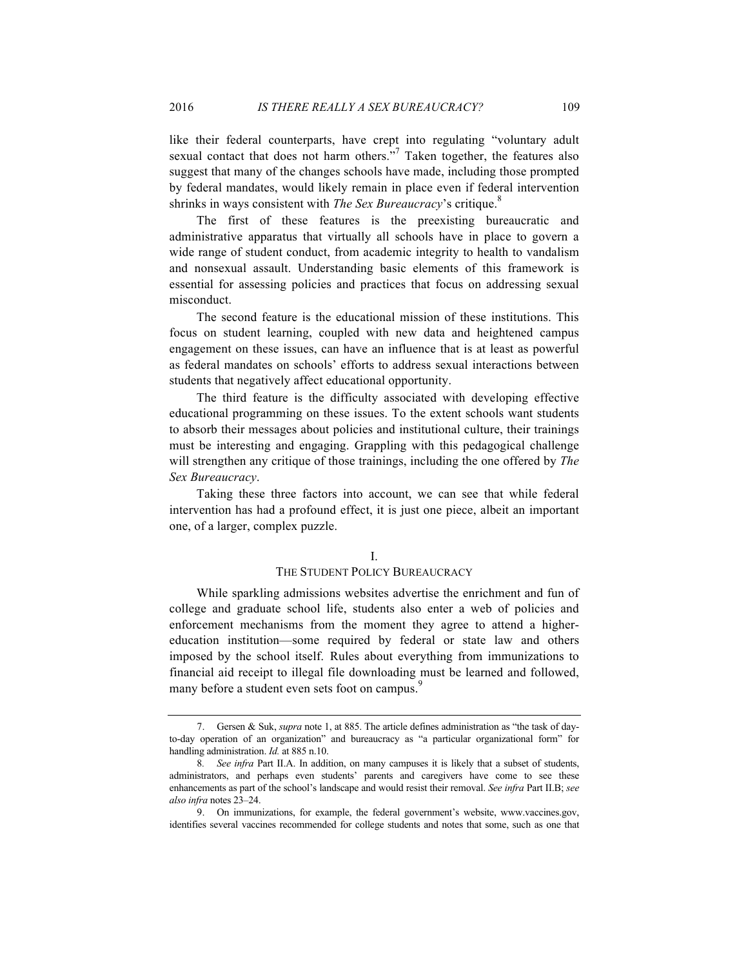like their federal counterparts, have crept into regulating "voluntary adult sexual contact that does not harm others."<sup>7</sup> Taken together, the features also suggest that many of the changes schools have made, including those prompted by federal mandates, would likely remain in place even if federal intervention shrinks in ways consistent with *The Sex Bureaucracy*'s critique.<sup>8</sup>

The first of these features is the preexisting bureaucratic and administrative apparatus that virtually all schools have in place to govern a wide range of student conduct, from academic integrity to health to vandalism and nonsexual assault. Understanding basic elements of this framework is essential for assessing policies and practices that focus on addressing sexual misconduct.

The second feature is the educational mission of these institutions. This focus on student learning, coupled with new data and heightened campus engagement on these issues, can have an influence that is at least as powerful as federal mandates on schools' efforts to address sexual interactions between students that negatively affect educational opportunity.

The third feature is the difficulty associated with developing effective educational programming on these issues. To the extent schools want students to absorb their messages about policies and institutional culture, their trainings must be interesting and engaging. Grappling with this pedagogical challenge will strengthen any critique of those trainings, including the one offered by *The Sex Bureaucracy*.

Taking these three factors into account, we can see that while federal intervention has had a profound effect, it is just one piece, albeit an important one, of a larger, complex puzzle.

#### I.

#### THE STUDENT POLICY BUREAUCRACY

While sparkling admissions websites advertise the enrichment and fun of college and graduate school life, students also enter a web of policies and enforcement mechanisms from the moment they agree to attend a highereducation institution—some required by federal or state law and others imposed by the school itself. Rules about everything from immunizations to financial aid receipt to illegal file downloading must be learned and followed, many before a student even sets foot on campus.<sup>9</sup>

<sup>7.</sup> Gersen & Suk, *supra* note 1, at 885. The article defines administration as "the task of dayto-day operation of an organization" and bureaucracy as "a particular organizational form" for handling administration. *Id.* at 885 n.10.

<sup>8</sup>*. See infra* Part II.A. In addition, on many campuses it is likely that a subset of students, administrators, and perhaps even students' parents and caregivers have come to see these enhancements as part of the school's landscape and would resist their removal. *See infra* Part II.B; *see also infra* notes 23–24.

<sup>9.</sup> On immunizations, for example, the federal government's website, www.vaccines.gov, identifies several vaccines recommended for college students and notes that some, such as one that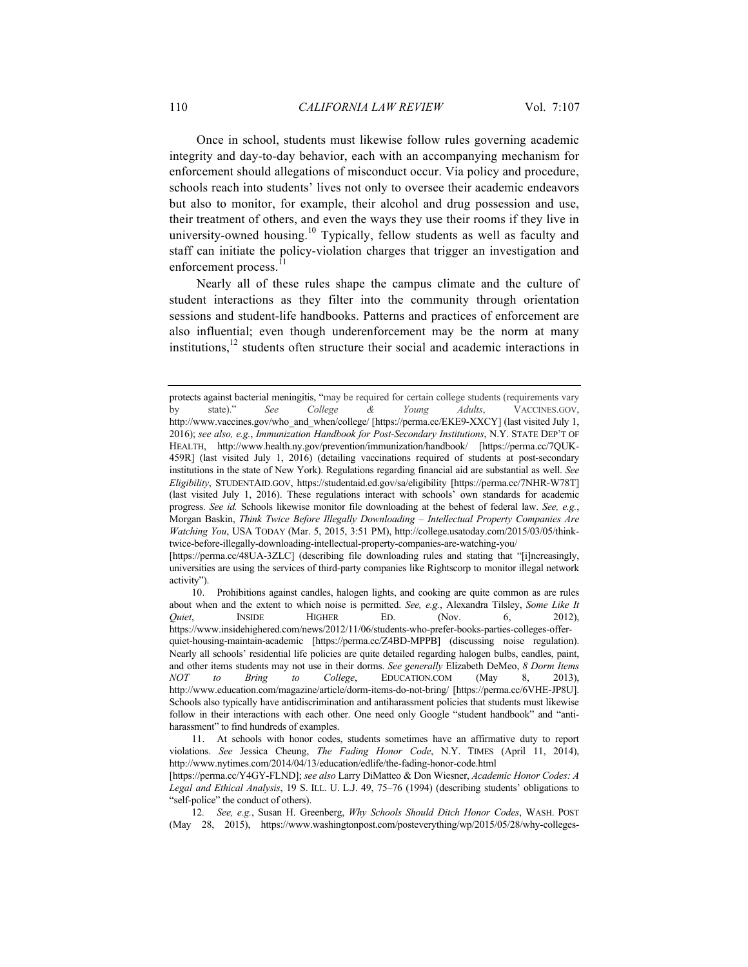Once in school, students must likewise follow rules governing academic integrity and day-to-day behavior, each with an accompanying mechanism for enforcement should allegations of misconduct occur. Via policy and procedure, schools reach into students' lives not only to oversee their academic endeavors but also to monitor, for example, their alcohol and drug possession and use, their treatment of others, and even the ways they use their rooms if they live in university-owned housing.<sup>10</sup> Typically, fellow students as well as faculty and staff can initiate the policy-violation charges that trigger an investigation and enforcement process.

Nearly all of these rules shape the campus climate and the culture of student interactions as they filter into the community through orientation sessions and student-life handbooks. Patterns and practices of enforcement are also influential; even though underenforcement may be the norm at many institutions, $12$  students often structure their social and academic interactions in

protects against bacterial meningitis, "may be required for certain college students (requirements vary by state)." *See College & Young Adults*, VACCINES.GOV, http://www.vaccines.gov/who\_and\_when/college/ [https://perma.cc/EKE9-XXCY] (last visited July 1, 2016); *see also, e.g.*, *Immunization Handbook for Post-Secondary Institutions*, N.Y. STATE DEP'T OF HEALTH, http://www.health.ny.gov/prevention/immunization/handbook/ [https://perma.cc/7QUK-459R] (last visited July 1, 2016) (detailing vaccinations required of students at post-secondary institutions in the state of New York). Regulations regarding financial aid are substantial as well. *See Eligibility*, STUDENTAID.GOV, https://studentaid.ed.gov/sa/eligibility [https://perma.cc/7NHR-W78T] (last visited July 1, 2016). These regulations interact with schools' own standards for academic progress. *See id.* Schools likewise monitor file downloading at the behest of federal law. *See, e.g.*, Morgan Baskin, *Think Twice Before Illegally Downloading – Intellectual Property Companies Are Watching You*, USA TODAY (Mar. 5, 2015, 3:51 PM), http://college.usatoday.com/2015/03/05/thinktwice-before-illegally-downloading-intellectual-property-companies-are-watching-you/

<sup>[</sup>https://perma.cc/48UA-3ZLC] (describing file downloading rules and stating that "[i]ncreasingly, universities are using the services of third-party companies like Rightscorp to monitor illegal network activity").

<sup>10.</sup> Prohibitions against candles, halogen lights, and cooking are quite common as are rules about when and the extent to which noise is permitted. *See, e.g.*, Alexandra Tilsley, *Some Like It Quiet*, **INSIDE** HIGHER ED. (Nov. 6, 2012), https://www.insidehighered.com/news/2012/11/06/students-who-prefer-books-parties-colleges-offerquiet-housing-maintain-academic [https://perma.cc/Z4BD-MPPB] (discussing noise regulation). Nearly all schools' residential life policies are quite detailed regarding halogen bulbs, candles, paint, and other items students may not use in their dorms. *See generally* Elizabeth DeMeo, *8 Dorm Items NOT to Bring to College*, EDUCATION.COM (May 8, 2013), http://www.education.com/magazine/article/dorm-items-do-not-bring/ [https://perma.cc/6VHE-JP8U]. Schools also typically have antidiscrimination and antiharassment policies that students must likewise follow in their interactions with each other. One need only Google "student handbook" and "antiharassment" to find hundreds of examples.

<sup>11.</sup> At schools with honor codes, students sometimes have an affirmative duty to report violations. *See* Jessica Cheung, *The Fading Honor Code*, N.Y. TIMES (April 11, 2014), http://www.nytimes.com/2014/04/13/education/edlife/the-fading-honor-code.html

<sup>[</sup>https://perma.cc/Y4GY-FLND]; *see also* Larry DiMatteo & Don Wiesner, *Academic Honor Codes: A Legal and Ethical Analysis*, 19 S. ILL. U. L.J. 49, 75–76 (1994) (describing students' obligations to "self-police" the conduct of others).

<sup>12</sup>*. See, e.g.*, Susan H. Greenberg, *Why Schools Should Ditch Honor Codes*, WASH. POST (May 28, 2015), https://www.washingtonpost.com/posteverything/wp/2015/05/28/why-colleges-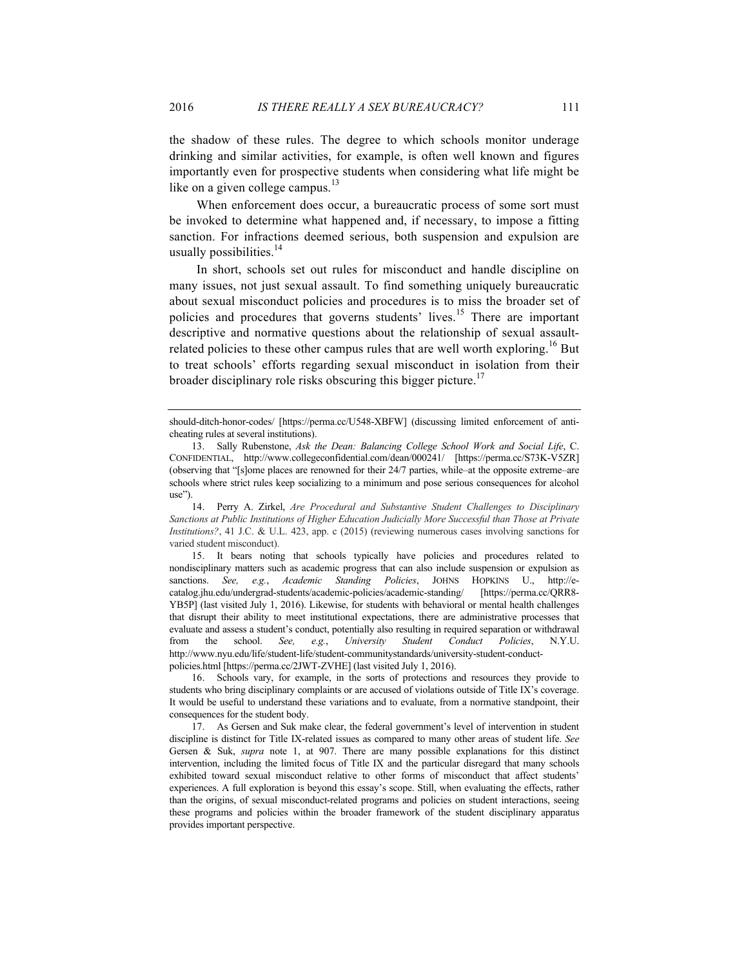the shadow of these rules. The degree to which schools monitor underage drinking and similar activities, for example, is often well known and figures importantly even for prospective students when considering what life might be like on a given college campus. $^{13}$ 

When enforcement does occur, a bureaucratic process of some sort must be invoked to determine what happened and, if necessary, to impose a fitting sanction. For infractions deemed serious, both suspension and expulsion are usually possibilities.<sup>14</sup>

In short, schools set out rules for misconduct and handle discipline on many issues, not just sexual assault. To find something uniquely bureaucratic about sexual misconduct policies and procedures is to miss the broader set of policies and procedures that governs students' lives.<sup>15</sup> There are important descriptive and normative questions about the relationship of sexual assaultrelated policies to these other campus rules that are well worth exploring.<sup>16</sup> But to treat schools' efforts regarding sexual misconduct in isolation from their broader disciplinary role risks obscuring this bigger picture.<sup>17</sup>

14. Perry A. Zirkel, *Are Procedural and Substantive Student Challenges to Disciplinary Sanctions at Public Institutions of Higher Education Judicially More Successful than Those at Private Institutions?*, 41 J.C. & U.L. 423, app. c (2015) (reviewing numerous cases involving sanctions for varied student misconduct).

15. It bears noting that schools typically have policies and procedures related to nondisciplinary matters such as academic progress that can also include suspension or expulsion as sanctions. *See, e.g.*, *Academic Standing Policies*, JOHNS HOPKINS U., http://ecatalog.jhu.edu/undergrad-students/academic-policies/academic-standing/ [https://perma.cc/QRR8- YB5P] (last visited July 1, 2016). Likewise, for students with behavioral or mental health challenges that disrupt their ability to meet institutional expectations, there are administrative processes that evaluate and assess a student's conduct, potentially also resulting in required separation or withdrawal from the school. *See, e.g.*, *University Student Conduct Policies*, N.Y.U. http://www.nyu.edu/life/student-life/student-communitystandards/university-student-conductpolicies.html [https://perma.cc/2JWT-ZVHE] (last visited July 1, 2016).

16. Schools vary, for example, in the sorts of protections and resources they provide to students who bring disciplinary complaints or are accused of violations outside of Title IX's coverage. It would be useful to understand these variations and to evaluate, from a normative standpoint, their consequences for the student body.

17. As Gersen and Suk make clear, the federal government's level of intervention in student discipline is distinct for Title IX-related issues as compared to many other areas of student life. *See*  Gersen & Suk, *supra* note 1, at 907. There are many possible explanations for this distinct intervention, including the limited focus of Title IX and the particular disregard that many schools exhibited toward sexual misconduct relative to other forms of misconduct that affect students' experiences. A full exploration is beyond this essay's scope. Still, when evaluating the effects, rather than the origins, of sexual misconduct-related programs and policies on student interactions, seeing these programs and policies within the broader framework of the student disciplinary apparatus provides important perspective.

should-ditch-honor-codes/ [https://perma.cc/U548-XBFW] (discussing limited enforcement of anticheating rules at several institutions).

<sup>13.</sup> Sally Rubenstone, *Ask the Dean: Balancing College School Work and Social Life*, C. CONFIDENTIAL, http://www.collegeconfidential.com/dean/000241/ [https://perma.cc/S73K-V5ZR] (observing that "[s]ome places are renowned for their 24/7 parties, while–at the opposite extreme–are schools where strict rules keep socializing to a minimum and pose serious consequences for alcohol use").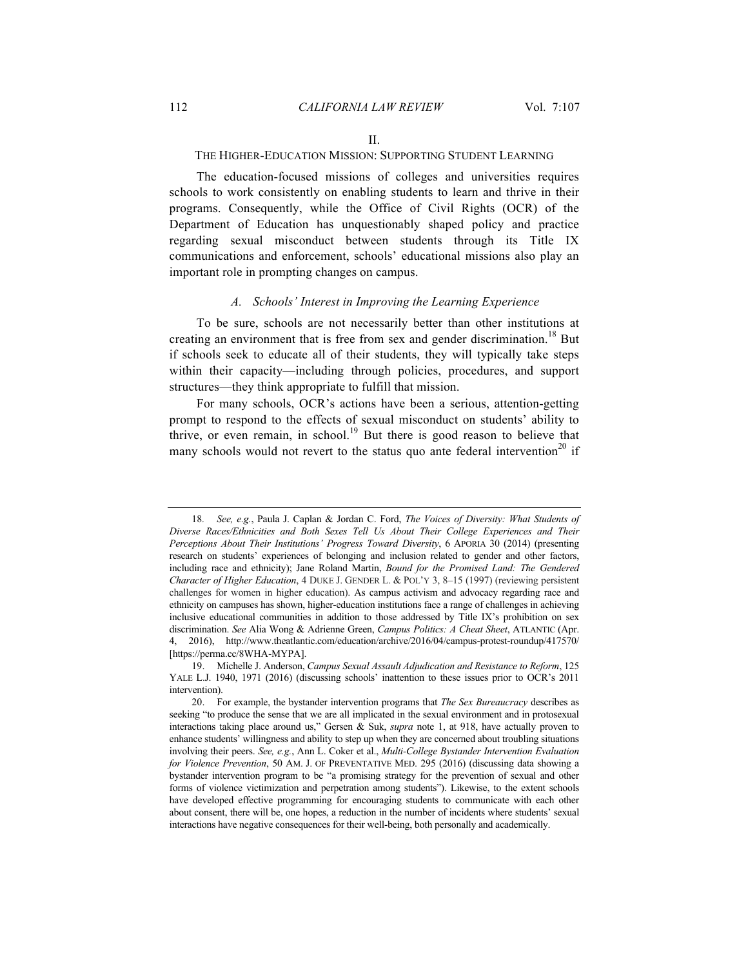#### THE HIGHER-EDUCATION MISSION: SUPPORTING STUDENT LEARNING

The education-focused missions of colleges and universities requires schools to work consistently on enabling students to learn and thrive in their programs. Consequently, while the Office of Civil Rights (OCR) of the Department of Education has unquestionably shaped policy and practice regarding sexual misconduct between students through its Title IX communications and enforcement, schools' educational missions also play an important role in prompting changes on campus.

#### *A. Schools' Interest in Improving the Learning Experience*

To be sure, schools are not necessarily better than other institutions at creating an environment that is free from sex and gender discrimination.<sup>18</sup> But if schools seek to educate all of their students, they will typically take steps within their capacity—including through policies, procedures, and support structures—they think appropriate to fulfill that mission.

For many schools, OCR's actions have been a serious, attention-getting prompt to respond to the effects of sexual misconduct on students' ability to thrive, or even remain, in school.<sup>19</sup> But there is good reason to believe that many schools would not revert to the status quo ante federal intervention<sup>20</sup> if

<sup>18</sup>*. See, e.g.*, Paula J. Caplan & Jordan C. Ford, *The Voices of Diversity: What Students of Diverse Races/Ethnicities and Both Sexes Tell Us About Their College Experiences and Their Perceptions About Their Institutions' Progress Toward Diversity*, 6 APORIA 30 (2014) (presenting research on students' experiences of belonging and inclusion related to gender and other factors, including race and ethnicity); Jane Roland Martin, *Bound for the Promised Land: The Gendered Character of Higher Education*, 4 DUKE J. GENDER L. & POL'Y 3, 8–15 (1997) (reviewing persistent challenges for women in higher education). As campus activism and advocacy regarding race and ethnicity on campuses has shown, higher-education institutions face a range of challenges in achieving inclusive educational communities in addition to those addressed by Title IX's prohibition on sex discrimination. *See* Alia Wong & Adrienne Green, *Campus Politics: A Cheat Sheet*, ATLANTIC (Apr. 2016), http://www.theatlantic.com/education/archive/2016/04/campus-protest-roundup/417570/ [https://perma.cc/8WHA-MYPA].

<sup>19.</sup> Michelle J. Anderson, *Campus Sexual Assault Adjudication and Resistance to Reform*, 125 YALE L.J. 1940, 1971 (2016) (discussing schools' inattention to these issues prior to OCR's 2011 intervention).

<sup>20.</sup> For example, the bystander intervention programs that *The Sex Bureaucracy* describes as seeking "to produce the sense that we are all implicated in the sexual environment and in protosexual interactions taking place around us," Gersen & Suk, *supra* note 1, at 918, have actually proven to enhance students' willingness and ability to step up when they are concerned about troubling situations involving their peers. *See, e.g.*, Ann L. Coker et al., *Multi-College Bystander Intervention Evaluation for Violence Prevention*, 50 AM. J. OF PREVENTATIVE MED. 295 (2016) (discussing data showing a bystander intervention program to be "a promising strategy for the prevention of sexual and other forms of violence victimization and perpetration among students"). Likewise, to the extent schools have developed effective programming for encouraging students to communicate with each other about consent, there will be, one hopes, a reduction in the number of incidents where students' sexual interactions have negative consequences for their well-being, both personally and academically.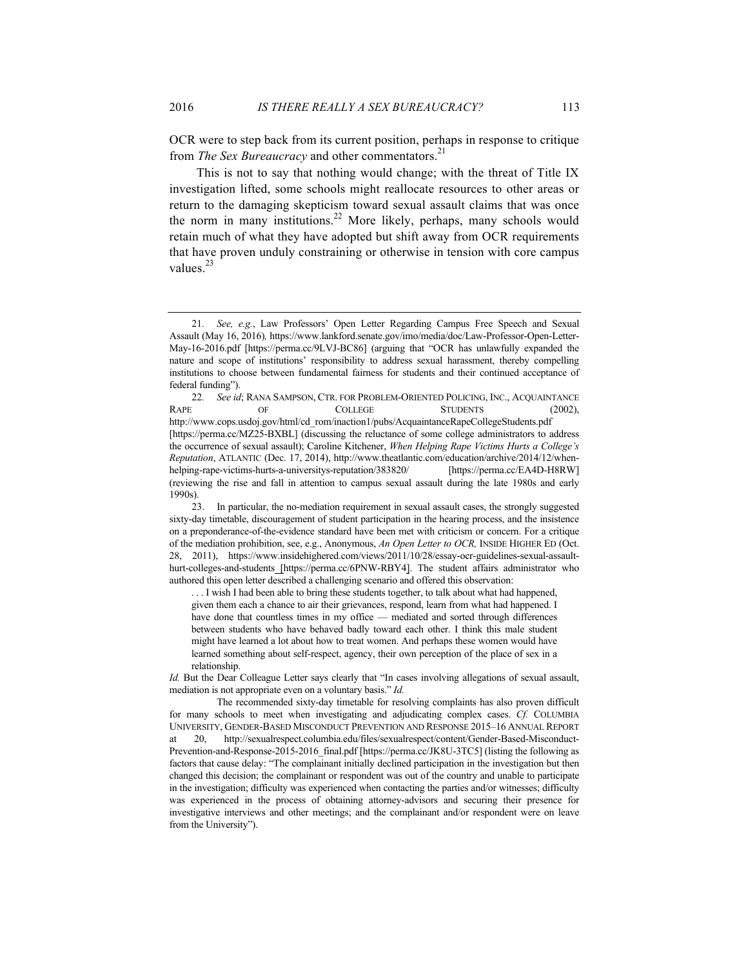OCR were to step back from its current position, perhaps in response to critique from *The Sex Bureaucracy* and other commentators. 21

This is not to say that nothing would change; with the threat of Title IX investigation lifted, some schools might reallocate resources to other areas or return to the damaging skepticism toward sexual assault claims that was once the norm in many institutions.<sup>22</sup> More likely, perhaps, many schools would retain much of what they have adopted but shift away from OCR requirements that have proven unduly constraining or otherwise in tension with core campus values. $^{23}$ 

. . . I wish I had been able to bring these students together, to talk about what had happened, given them each a chance to air their grievances, respond, learn from what had happened. I have done that countless times in my office — mediated and sorted through differences between students who have behaved badly toward each other. I think this male student might have learned a lot about how to treat women. And perhaps these women would have learned something about self-respect, agency, their own perception of the place of sex in a relationship.

*Id.* But the Dear Colleague Letter says clearly that "In cases involving allegations of sexual assault, mediation is not appropriate even on a voluntary basis." *Id.*

<sup>21</sup>*. See, e.g.*, Law Professors' Open Letter Regarding Campus Free Speech and Sexual Assault (May 16, 2016)*,* https://www.lankford.senate.gov/imo/media/doc/Law-Professor-Open-Letter-May-16-2016.pdf [https://perma.cc/9LVJ-BC86] (arguing that "OCR has unlawfully expanded the nature and scope of institutions' responsibility to address sexual harassment, thereby compelling institutions to choose between fundamental fairness for students and their continued acceptance of federal funding").

<sup>22</sup>*. See id*; RANA SAMPSON, CTR. FOR PROBLEM-ORIENTED POLICING, INC., ACQUAINTANCE RAPE OF COLLEGE STUDENTS (2002), http://www.cops.usdoj.gov/html/cd\_rom/inaction1/pubs/AcquaintanceRapeCollegeStudents.pdf [https://perma.cc/MZ25-BXBL] (discussing the reluctance of some college administrators to address the occurrence of sexual assault); Caroline Kitchener, *When Helping Rape Victims Hurts a College's Reputation*, ATLANTIC (Dec. 17, 2014), http://www.theatlantic.com/education/archive/2014/12/whenhelping-rape-victims-hurts-a-universitys-reputation/383820/ [https://perma.cc/EA4D-H8RW] (reviewing the rise and fall in attention to campus sexual assault during the late 1980s and early 1990s).

<sup>23.</sup> In particular, the no-mediation requirement in sexual assault cases, the strongly suggested sixty-day timetable, discouragement of student participation in the hearing process, and the insistence on a preponderance-of-the-evidence standard have been met with criticism or concern. For a critique of the mediation prohibition, see, e.g., Anonymous, *An Open Letter to OCR,* INSIDE HIGHER ED (Oct. 28, 2011), https://www.insidehighered.com/views/2011/10/28/essay-ocr-guidelines-sexual-assaulthurt-colleges-and-students [https://perma.cc/6PNW-RBY4]. The student affairs administrator who authored this open letter described a challenging scenario and offered this observation:

The recommended sixty-day timetable for resolving complaints has also proven difficult for many schools to meet when investigating and adjudicating complex cases. *Cf.* COLUMBIA UNIVERSITY, GENDER-BASED MISCONDUCT PREVENTION AND RESPONSE 2015–16 ANNUAL REPORT at 20, http://sexualrespect.columbia.edu/files/sexualrespect/content/Gender-Based-Misconduct-Prevention-and-Response-2015-2016 final.pdf [https://perma.cc/JK8U-3TC5] (listing the following as factors that cause delay: "The complainant initially declined participation in the investigation but then changed this decision; the complainant or respondent was out of the country and unable to participate in the investigation; difficulty was experienced when contacting the parties and/or witnesses; difficulty was experienced in the process of obtaining attorney-advisors and securing their presence for investigative interviews and other meetings; and the complainant and/or respondent were on leave from the University").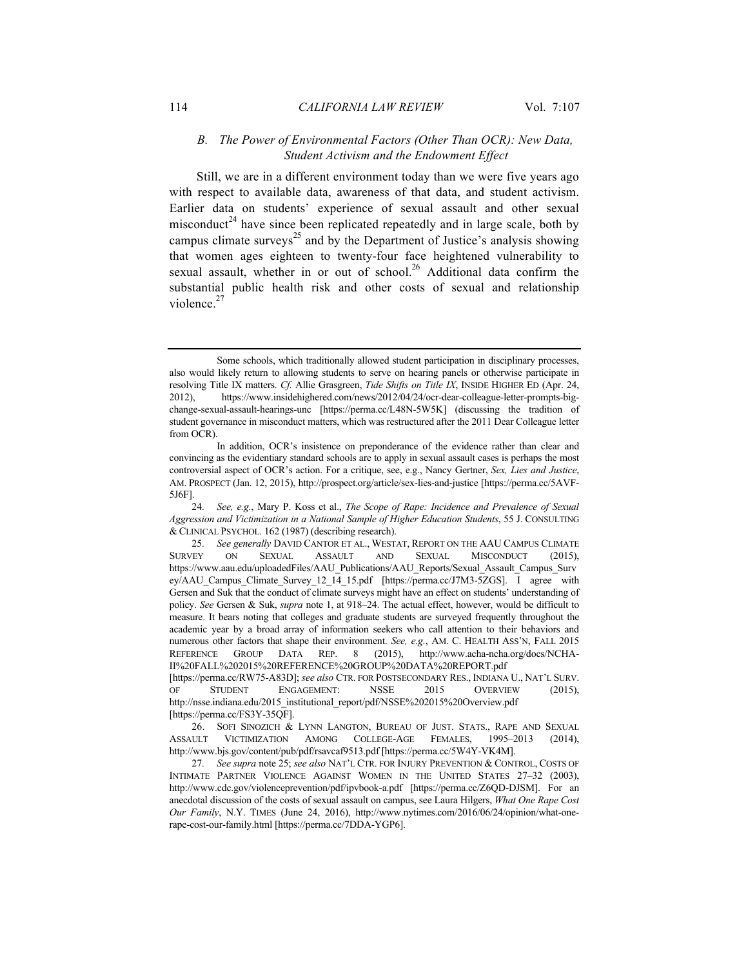#### *B. The Power of Environmental Factors (Other Than OCR): New Data, Student Activism and the Endowment Effect*

Still, we are in a different environment today than we were five years ago with respect to available data, awareness of that data, and student activism. Earlier data on students' experience of sexual assault and other sexual misconduct<sup>24</sup> have since been replicated repeatedly and in large scale, both by campus climate surveys<sup>25</sup> and by the Department of Justice's analysis showing that women ages eighteen to twenty-four face heightened vulnerability to sexual assault, whether in or out of school.<sup>26</sup> Additional data confirm the substantial public health risk and other costs of sexual and relationship violence. $27$ 

Some schools, which traditionally allowed student participation in disciplinary processes, also would likely return to allowing students to serve on hearing panels or otherwise participate in resolving Title IX matters. *Cf.* Allie Grasgreen, *Tide Shifts on Title IX*, INSIDE HIGHER ED (Apr. 24, 2012), https://www.insidehighered.com/news/2012/04/24/ocr-dear-colleague-letter-prompts-bigchange-sexual-assault-hearings-unc [https://perma.cc/L48N-5W5K] (discussing the tradition of student governance in misconduct matters, which was restructured after the 2011 Dear Colleague letter from OCR).

In addition, OCR's insistence on preponderance of the evidence rather than clear and convincing as the evidentiary standard schools are to apply in sexual assault cases is perhaps the most controversial aspect of OCR's action. For a critique, see, e.g., Nancy Gertner, *Sex, Lies and Justice*, AM. PROSPECT (Jan. 12, 2015), http://prospect.org/article/sex-lies-and-justice [https://perma.cc/5AVF-5J6F].

<sup>24</sup>*. See, e.g.*, Mary P. Koss et al., *The Scope of Rape: Incidence and Prevalence of Sexual Aggression and Victimization in a National Sample of Higher Education Students*, 55 J. CONSULTING & CLINICAL PSYCHOL. 162 (1987) (describing research).

<sup>25</sup>*. See generally* DAVID CANTOR ET AL., WESTAT, REPORT ON THE AAU CAMPUS CLIMATE SURVEY ON SEXUAL ASSAULT AND SEXUAL MISCONDUCT (2015), https://www.aau.edu/uploadedFiles/AAU\_Publications/AAU\_Reports/Sexual\_Assault\_Campus\_Surv ey/AAU\_Campus\_Climate\_Survey\_12\_14\_15.pdf [https://perma.cc/J7M3-5ZGS]. I agree with Gersen and Suk that the conduct of climate surveys might have an effect on students' understanding of policy. *See* Gersen & Suk, *supra* note 1, at 918–24. The actual effect, however, would be difficult to measure. It bears noting that colleges and graduate students are surveyed frequently throughout the academic year by a broad array of information seekers who call attention to their behaviors and numerous other factors that shape their environment. *See, e.g.*, AM. C. HEALTH ASS'N, FALL 2015 REFERENCE GROUP DATA REP. 8 (2015), http://www.acha-ncha.org/docs/NCHA-II%20FALL%202015%20REFERENCE%20GROUP%20DATA%20REPORT.pdf [https://perma.cc/RW75-A83D]; *see also* CTR. FOR POSTSECONDARY RES., INDIANA U., NAT'L SURV.

OF STUDENT ENGAGEMENT: NSSE 2015 OVERVIEW (2015), http://nsse.indiana.edu/2015\_institutional\_report/pdf/NSSE%202015%20Overview.pdf [https://perma.cc/FS3Y-35QF].

<sup>26.</sup> SOFI SINOZICH & LYNN LANGTON, BUREAU OF JUST. STATS., RAPE AND SEXUAL ASSAULT VICTIMIZATION AMONG COLLEGE-AGE FEMALES, 1995–2013 (2014), http://www.bjs.gov/content/pub/pdf/rsavcaf9513.pdf [https://perma.cc/5W4Y-VK4M].

<sup>27</sup>*. See supra* note 25; *see also* NAT'L CTR. FOR INJURY PREVENTION & CONTROL, COSTS OF INTIMATE PARTNER VIOLENCE AGAINST WOMEN IN THE UNITED STATES 27–32 (2003), http://www.cdc.gov/violenceprevention/pdf/ipvbook-a.pdf [https://perma.cc/Z6QD-DJSM]. For an anecdotal discussion of the costs of sexual assault on campus, see Laura Hilgers, *What One Rape Cost Our Family*, N.Y. TIMES (June 24, 2016), http://www.nytimes.com/2016/06/24/opinion/what-onerape-cost-our-family.html [https://perma.cc/7DDA-YGP6].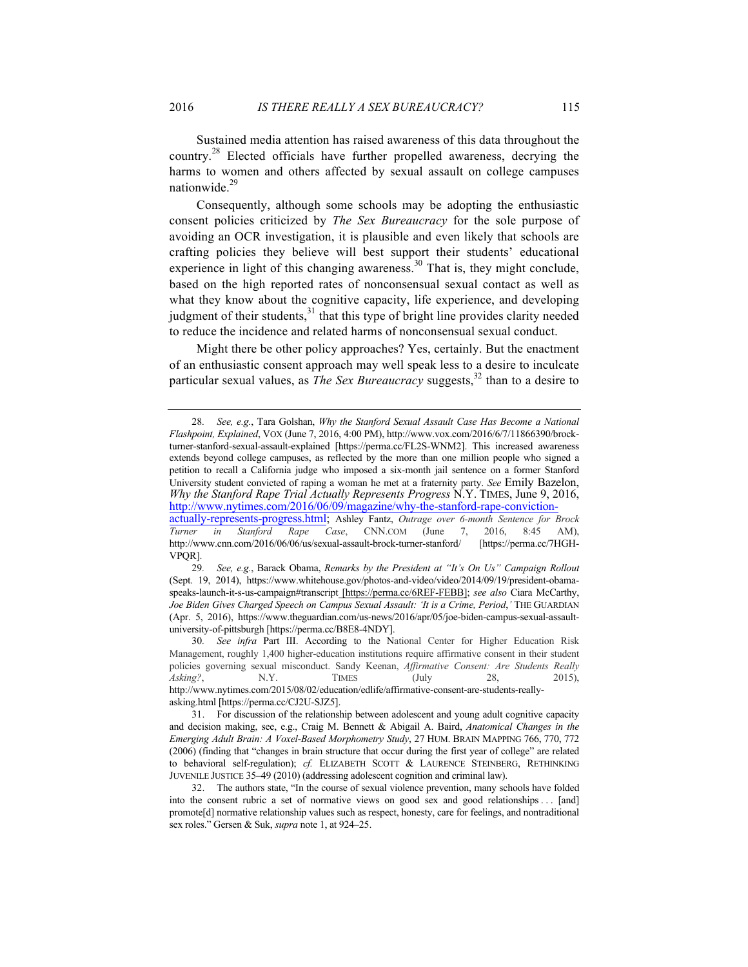Sustained media attention has raised awareness of this data throughout the country.<sup>28</sup> Elected officials have further propelled awareness, decrying the harms to women and others affected by sexual assault on college campuses nationwide.<sup>29</sup>

Consequently, although some schools may be adopting the enthusiastic consent policies criticized by *The Sex Bureaucracy* for the sole purpose of avoiding an OCR investigation, it is plausible and even likely that schools are crafting policies they believe will best support their students' educational experience in light of this changing awareness.<sup>30</sup> That is, they might conclude, based on the high reported rates of nonconsensual sexual contact as well as what they know about the cognitive capacity, life experience, and developing judgment of their students, $31$  that this type of bright line provides clarity needed to reduce the incidence and related harms of nonconsensual sexual conduct.

Might there be other policy approaches? Yes, certainly. But the enactment of an enthusiastic consent approach may well speak less to a desire to inculcate particular sexual values, as *The Sex Bureaucracy* suggests,<sup>32</sup> than to a desire to

<sup>28</sup>*. See, e.g.*, Tara Golshan, *Why the Stanford Sexual Assault Case Has Become a National Flashpoint, Explained*, VOX (June 7, 2016, 4:00 PM), http://www.vox.com/2016/6/7/11866390/brockturner-stanford-sexual-assault-explained [https://perma.cc/FL2S-WNM2]. This increased awareness extends beyond college campuses, as reflected by the more than one million people who signed a petition to recall a California judge who imposed a six-month jail sentence on a former Stanford University student convicted of raping a woman he met at a fraternity party. *See* Emily Bazelon, *Why the Stanford Rape Trial Actually Represents Progress* N.Y. TIMES, June 9, 2016, http://www.nytimes.com/2016/06/09/magazine/why-the-stanford-rape-conviction-

actually-represents-progress.html; Ashley Fantz, *Outrage over 6-month Sentence for Brock Turner in Stanford Rape Case*, CNN.COM (June 7, 2016, 8:45 AM), http://www.cnn.com/2016/06/06/us/sexual-assault-brock-turner-stanford/ [https://perma.cc/7HGH-VPQR].

<sup>29</sup>*. See, e.g.*, Barack Obama, *Remarks by the President at "It's On Us" Campaign Rollout* (Sept. 19, 2014), https://www.whitehouse.gov/photos-and-video/video/2014/09/19/president-obamaspeaks-launch-it-s-us-campaign#transcript [https://perma.cc/6REF-FEBB]; *see also* Ciara McCarthy, *Joe Biden Gives Charged Speech on Campus Sexual Assault: 'It is a Crime, Period*,*'* THE GUARDIAN (Apr. 5, 2016), https://www.theguardian.com/us-news/2016/apr/05/joe-biden-campus-sexual-assaultuniversity-of-pittsburgh [https://perma.cc/B8E8-4NDY].

<sup>30</sup>*. See infra* Part III. According to the National Center for Higher Education Risk Management, roughly 1,400 higher-education institutions require affirmative consent in their student policies governing sexual misconduct. Sandy Keenan, *Affirmative Consent: Are Students Really Asking*?, **N.Y.** TIMES (July 28, 2015), http://www.nytimes.com/2015/08/02/education/edlife/affirmative-consent-are-students-reallyasking.html [https://perma.cc/CJ2U-SJZ5].

<sup>31.</sup> For discussion of the relationship between adolescent and young adult cognitive capacity and decision making, see, e.g., Craig M. Bennett & Abigail A. Baird, *Anatomical Changes in the Emerging Adult Brain: A Voxel-Based Morphometry Study*, 27 HUM. BRAIN MAPPING 766, 770, 772 (2006) (finding that "changes in brain structure that occur during the first year of college" are related to behavioral self-regulation); *cf.* ELIZABETH SCOTT & LAURENCE STEINBERG, RETHINKING JUVENILE JUSTICE 35–49 (2010) (addressing adolescent cognition and criminal law).

<sup>32.</sup> The authors state, "In the course of sexual violence prevention, many schools have folded into the consent rubric a set of normative views on good sex and good relationships . . . [and] promote[d] normative relationship values such as respect, honesty, care for feelings, and nontraditional sex roles." Gersen & Suk, *supra* note 1, at 924–25.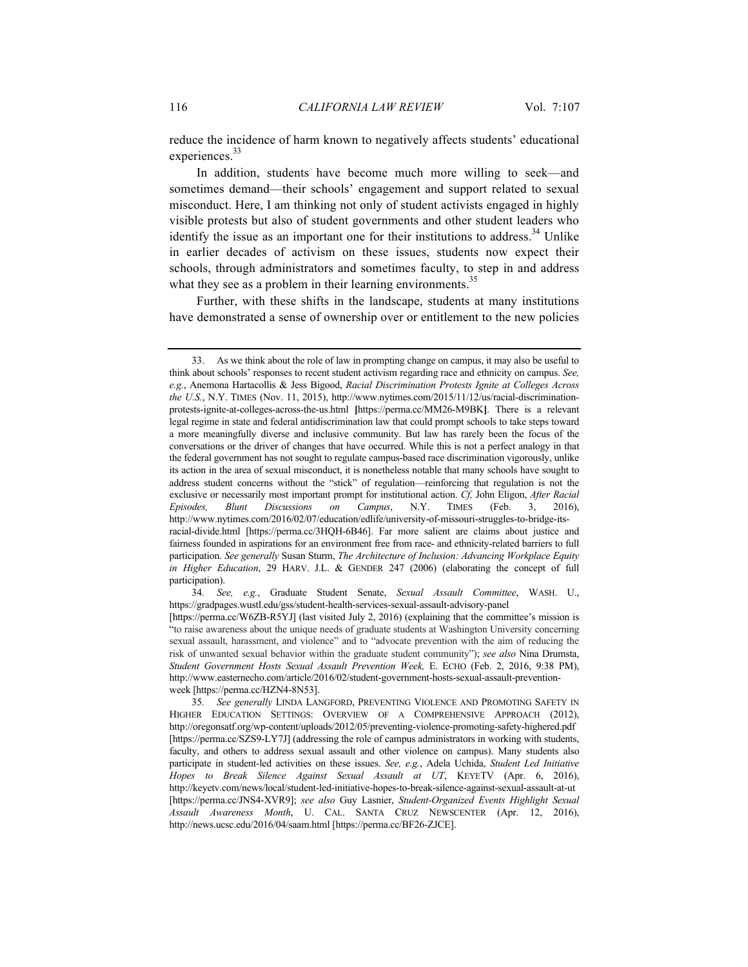reduce the incidence of harm known to negatively affects students' educational experiences.<sup>33</sup>

In addition, students have become much more willing to seek—and sometimes demand—their schools' engagement and support related to sexual misconduct. Here, I am thinking not only of student activists engaged in highly visible protests but also of student governments and other student leaders who identify the issue as an important one for their institutions to address.<sup>34</sup> Unlike in earlier decades of activism on these issues, students now expect their schools, through administrators and sometimes faculty, to step in and address what they see as a problem in their learning environments.<sup>35</sup>

Further, with these shifts in the landscape, students at many institutions have demonstrated a sense of ownership over or entitlement to the new policies

<sup>33.</sup> As we think about the role of law in prompting change on campus, it may also be useful to think about schools' responses to recent student activism regarding race and ethnicity on campus. *See, e.g.*, Anemona Hartacollis & Jess Bigood, *Racial Discrimination Protests Ignite at Colleges Across the U.S.*, N.Y. TIMES (Nov. 11, 2015), http://www.nytimes.com/2015/11/12/us/racial-discriminationprotests-ignite-at-colleges-across-the-us.html **[**https://perma.cc/MM26-M9BK**]**. There is a relevant legal regime in state and federal antidiscrimination law that could prompt schools to take steps toward a more meaningfully diverse and inclusive community. But law has rarely been the focus of the conversations or the driver of changes that have occurred. While this is not a perfect analogy in that the federal government has not sought to regulate campus-based race discrimination vigorously, unlike its action in the area of sexual misconduct, it is nonetheless notable that many schools have sought to address student concerns without the "stick" of regulation—reinforcing that regulation is not the exclusive or necessarily most important prompt for institutional action. *Cf,* John Eligon, *After Racial Episodes, Blunt Discussions on Campus*, N.Y. TIMES (Feb. 3, 2016), http://www.nytimes.com/2016/02/07/education/edlife/university-of-missouri-struggles-to-bridge-itsracial-divide.html [https://perma.cc/3HQH-6B46]. Far more salient are claims about justice and fairness founded in aspirations for an environment free from race- and ethnicity-related barriers to full participation. *See generally* Susan Sturm, *The Architecture of Inclusion: Advancing Workplace Equity in Higher Education*, 29 HARV. J.L. & GENDER 247 (2006) (elaborating the concept of full participation).

<sup>34</sup>*. See, e.g.*, Graduate Student Senate, *Sexual Assault Committee*, WASH. U., https://gradpages.wustl.edu/gss/student-health-services-sexual-assault-advisory-panel [https://perma.cc/W6ZB-R5YJ] (last visited July 2, 2016) (explaining that the committee's mission is "to raise awareness about the unique needs of graduate students at Washington University concerning sexual assault, harassment, and violence" and to "advocate prevention with the aim of reducing the risk of unwanted sexual behavior within the graduate student community"); *see also* Nina Drumsta, *Student Government Hosts Sexual Assault Prevention Week,* E. ECHO (Feb. 2, 2016, 9:38 PM), http://www.easternecho.com/article/2016/02/student-government-hosts-sexual-assault-preventionweek [https://perma.cc/HZN4-8N53].

<sup>35</sup>*. See generally* LINDA LANGFORD, PREVENTING VIOLENCE AND PROMOTING SAFETY IN HIGHER EDUCATION SETTINGS: OVERVIEW OF A COMPREHENSIVE APPROACH (2012), http://oregonsatf.org/wp-content/uploads/2012/05/preventing-violence-promoting-safety-highered.pdf [https://perma.cc/SZS9-LY7J] (addressing the role of campus administrators in working with students, faculty, and others to address sexual assault and other violence on campus). Many students also participate in student-led activities on these issues. *See, e.g.*, Adela Uchida, *Student Led Initiative Hopes to Break Silence Against Sexual Assault at UT*, KEYETV (Apr. 6, 2016), http://keyetv.com/news/local/student-led-initiative-hopes-to-break-silence-against-sexual-assault-at-ut [https://perma.cc/JNS4-XVR9]; *see also* Guy Lasnier, *Student-Organized Events Highlight Sexual Assault Awareness Month*, U. CAL. SANTA CRUZ NEWSCENTER (Apr. 12, 2016), http://news.ucsc.edu/2016/04/saam.html [https://perma.cc/BF26-ZJCE].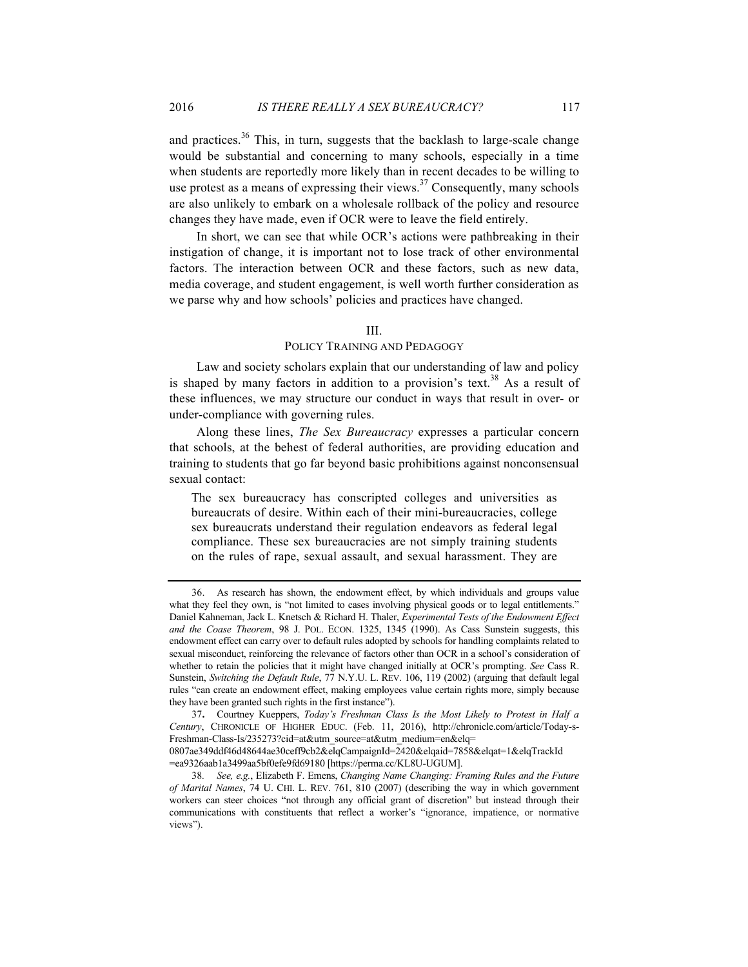and practices.<sup>36</sup> This, in turn, suggests that the backlash to large-scale change would be substantial and concerning to many schools, especially in a time when students are reportedly more likely than in recent decades to be willing to use protest as a means of expressing their views. $37$  Consequently, many schools are also unlikely to embark on a wholesale rollback of the policy and resource changes they have made, even if OCR were to leave the field entirely.

In short, we can see that while OCR's actions were pathbreaking in their instigation of change, it is important not to lose track of other environmental factors. The interaction between OCR and these factors, such as new data, media coverage, and student engagement, is well worth further consideration as we parse why and how schools' policies and practices have changed.

#### III.

#### POLICY TRAINING AND PEDAGOGY

Law and society scholars explain that our understanding of law and policy is shaped by many factors in addition to a provision's text.<sup>38</sup> As a result of these influences, we may structure our conduct in ways that result in over- or under-compliance with governing rules.

Along these lines, *The Sex Bureaucracy* expresses a particular concern that schools, at the behest of federal authorities, are providing education and training to students that go far beyond basic prohibitions against nonconsensual sexual contact:

The sex bureaucracy has conscripted colleges and universities as bureaucrats of desire. Within each of their mini-bureaucracies, college sex bureaucrats understand their regulation endeavors as federal legal compliance. These sex bureaucracies are not simply training students on the rules of rape, sexual assault, and sexual harassment. They are

<sup>36.</sup> As research has shown, the endowment effect, by which individuals and groups value what they feel they own, is "not limited to cases involving physical goods or to legal entitlements." Daniel Kahneman, Jack L. Knetsch & Richard H. Thaler, *Experimental Tests of the Endowment Effect and the Coase Theorem*, 98 J. POL. ECON. 1325, 1345 (1990). As Cass Sunstein suggests, this endowment effect can carry over to default rules adopted by schools for handling complaints related to sexual misconduct, reinforcing the relevance of factors other than OCR in a school's consideration of whether to retain the policies that it might have changed initially at OCR's prompting. *See* Cass R. Sunstein, *Switching the Default Rule*, 77 N.Y.U. L. REV. 106, 119 (2002) (arguing that default legal rules "can create an endowment effect, making employees value certain rights more, simply because they have been granted such rights in the first instance").

<sup>37</sup>**.** Courtney Kueppers, *Today's Freshman Class Is the Most Likely to Protest in Half a Century*, CHRONICLE OF HIGHER EDUC. (Feb. 11, 2016), http://chronicle.com/article/Today-s-Freshman-Class-Is/235273?cid=at&utm\_source=at&utm\_medium=en&elq= 0807ae349ddf46d48644ae30ceff9cb2&elqCampaignId=2420&elqaid=7858&elqat=1&elqTrackId

<sup>=</sup>ea9326aab1a3499aa5bf0efe9fd69180 [https://perma.cc/KL8U-UGUM].

<sup>38</sup>*. See, e.g.*, Elizabeth F. Emens, *Changing Name Changing: Framing Rules and the Future of Marital Names*, 74 U. CHI. L. REV. 761, 810 (2007) (describing the way in which government workers can steer choices "not through any official grant of discretion" but instead through their communications with constituents that reflect a worker's "ignorance, impatience, or normative views").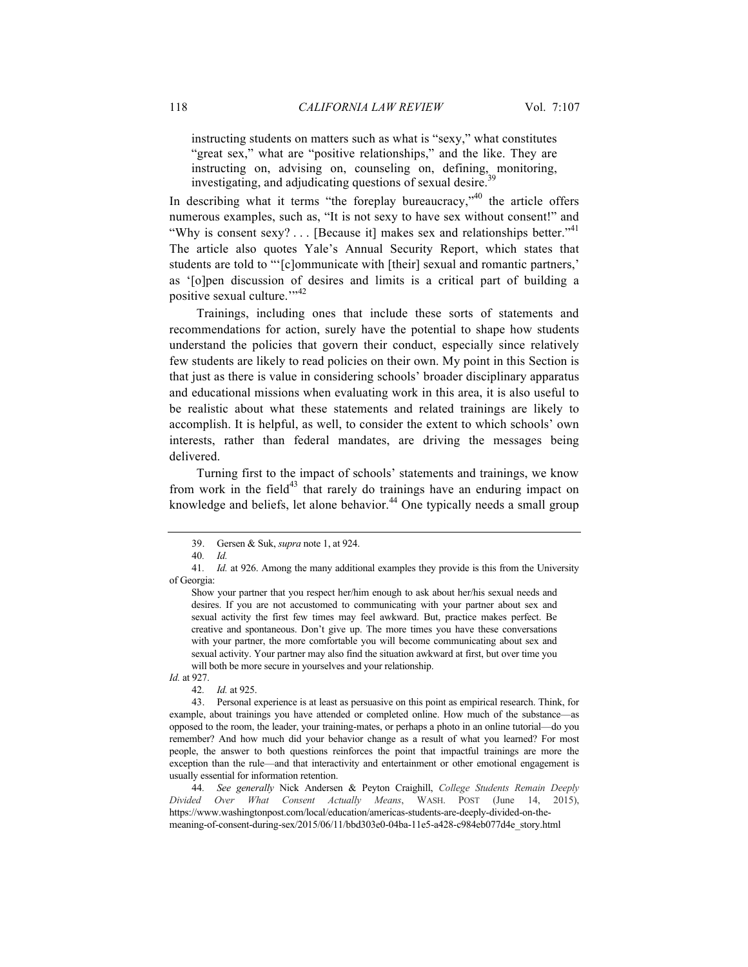instructing students on matters such as what is "sexy," what constitutes "great sex," what are "positive relationships," and the like. They are instructing on, advising on, counseling on, defining, monitoring, investigating, and adjudicating questions of sexual desire.

In describing what it terms "the foreplay bureaucracy," the article offers numerous examples, such as, "It is not sexy to have sex without consent!" and "Why is consent sexy? . . . [Because it] makes sex and relationships better."<sup>41</sup> The article also quotes Yale's Annual Security Report, which states that students are told to "'[c]ommunicate with [their] sexual and romantic partners,' as '[o]pen discussion of desires and limits is a critical part of building a positive sexual culture."<sup>342</sup>

Trainings, including ones that include these sorts of statements and recommendations for action, surely have the potential to shape how students understand the policies that govern their conduct, especially since relatively few students are likely to read policies on their own. My point in this Section is that just as there is value in considering schools' broader disciplinary apparatus and educational missions when evaluating work in this area, it is also useful to be realistic about what these statements and related trainings are likely to accomplish. It is helpful, as well, to consider the extent to which schools' own interests, rather than federal mandates, are driving the messages being delivered.

Turning first to the impact of schools' statements and trainings, we know from work in the field<sup>43</sup> that rarely do trainings have an enduring impact on knowledge and beliefs, let alone behavior.<sup>44</sup> One typically needs a small group

42*. Id.* at 925.

<sup>39.</sup> Gersen & Suk, *supra* note 1, at 924.

<sup>40</sup>*. Id.*

<sup>41</sup>*. Id.* at 926. Among the many additional examples they provide is this from the University of Georgia:

Show your partner that you respect her/him enough to ask about her/his sexual needs and desires. If you are not accustomed to communicating with your partner about sex and sexual activity the first few times may feel awkward. But, practice makes perfect. Be creative and spontaneous. Don't give up. The more times you have these conversations with your partner, the more comfortable you will become communicating about sex and sexual activity. Your partner may also find the situation awkward at first, but over time you will both be more secure in yourselves and your relationship.

*Id.* at 927.

<sup>43.</sup> Personal experience is at least as persuasive on this point as empirical research. Think, for example, about trainings you have attended or completed online. How much of the substance—as opposed to the room, the leader, your training-mates, or perhaps a photo in an online tutorial—do you remember? And how much did your behavior change as a result of what you learned? For most people, the answer to both questions reinforces the point that impactful trainings are more the exception than the rule—and that interactivity and entertainment or other emotional engagement is usually essential for information retention.

<sup>44</sup>*. See generally* Nick Andersen & Peyton Craighill, *College Students Remain Deeply Divided Over What Consent Actually Means*, WASH. POST (June 14, 2015), https://www.washingtonpost.com/local/education/americas-students-are-deeply-divided-on-themeaning-of-consent-during-sex/2015/06/11/bbd303e0-04ba-11e5-a428-c984eb077d4e\_story.html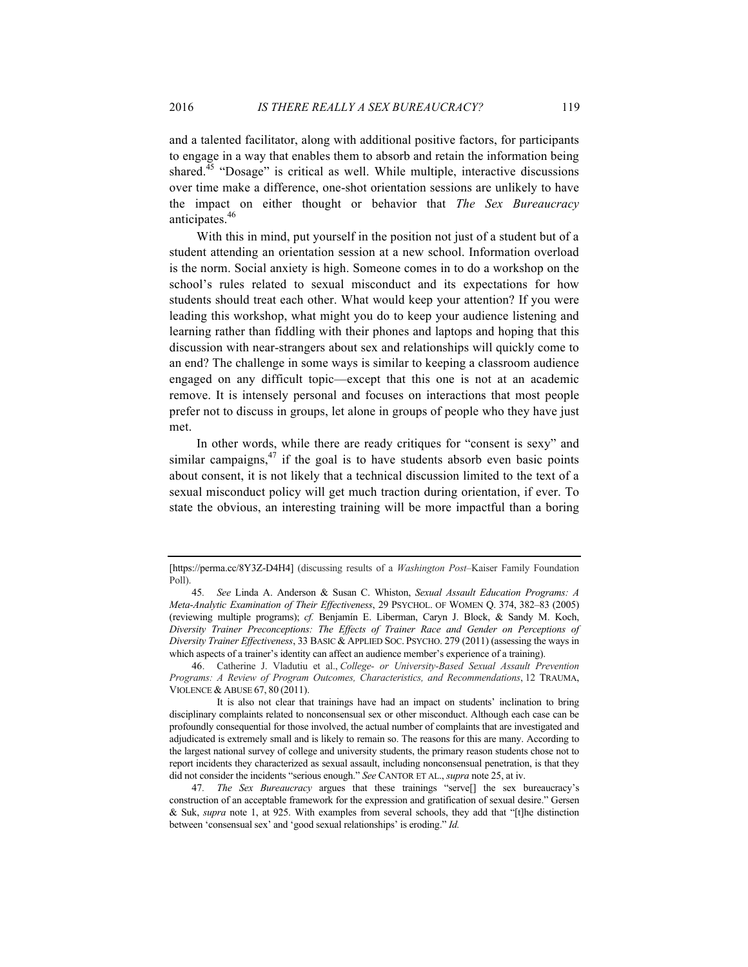and a talented facilitator, along with additional positive factors, for participants to engage in a way that enables them to absorb and retain the information being shared.<sup>45</sup> "Dosage" is critical as well. While multiple, interactive discussions over time make a difference, one-shot orientation sessions are unlikely to have the impact on either thought or behavior that *The Sex Bureaucracy*  anticipates.<sup>46</sup>

With this in mind, put yourself in the position not just of a student but of a student attending an orientation session at a new school. Information overload is the norm. Social anxiety is high. Someone comes in to do a workshop on the school's rules related to sexual misconduct and its expectations for how students should treat each other. What would keep your attention? If you were leading this workshop, what might you do to keep your audience listening and learning rather than fiddling with their phones and laptops and hoping that this discussion with near-strangers about sex and relationships will quickly come to an end? The challenge in some ways is similar to keeping a classroom audience engaged on any difficult topic—except that this one is not at an academic remove. It is intensely personal and focuses on interactions that most people prefer not to discuss in groups, let alone in groups of people who they have just met.

In other words, while there are ready critiques for "consent is sexy" and similar campaigns, $47$  if the goal is to have students absorb even basic points about consent, it is not likely that a technical discussion limited to the text of a sexual misconduct policy will get much traction during orientation, if ever. To state the obvious, an interesting training will be more impactful than a boring

<sup>[</sup>https://perma.cc/8Y3Z-D4H4] (discussing results of a *Washington Post*–Kaiser Family Foundation Poll).

<sup>45</sup>*. See* Linda A. Anderson & Susan C. Whiston, *Sexual Assault Education Programs: A Meta-Analytic Examination of Their Effectiveness*, 29 PSYCHOL. OF WOMEN Q. 374, 382–83 (2005) (reviewing multiple programs); *cf.* Benjamín E. Liberman, Caryn J. Block, & Sandy M. Koch, *Diversity Trainer Preconceptions: The Effects of Trainer Race and Gender on Perceptions of Diversity Trainer Effectiveness*, 33 BASIC & APPLIED SOC. PSYCHO. 279 (2011) (assessing the ways in which aspects of a trainer's identity can affect an audience member's experience of a training).

<sup>46.</sup> Catherine J. Vladutiu et al., *College- or University-Based Sexual Assault Prevention Programs: A Review of Program Outcomes, Characteristics, and Recommendations*, 12 TRAUMA, VIOLENCE & ABUSE 67, 80 (2011).

It is also not clear that trainings have had an impact on students' inclination to bring disciplinary complaints related to nonconsensual sex or other misconduct. Although each case can be profoundly consequential for those involved, the actual number of complaints that are investigated and adjudicated is extremely small and is likely to remain so. The reasons for this are many. According to the largest national survey of college and university students, the primary reason students chose not to report incidents they characterized as sexual assault, including nonconsensual penetration, is that they did not consider the incidents "serious enough." *See* CANTOR ET AL., *supra* note 25, at iv.

<sup>47</sup>*. The Sex Bureaucracy* argues that these trainings "serve[] the sex bureaucracy's construction of an acceptable framework for the expression and gratification of sexual desire." Gersen & Suk, *supra* note 1, at 925. With examples from several schools, they add that "[t]he distinction between 'consensual sex' and 'good sexual relationships' is eroding." *Id.*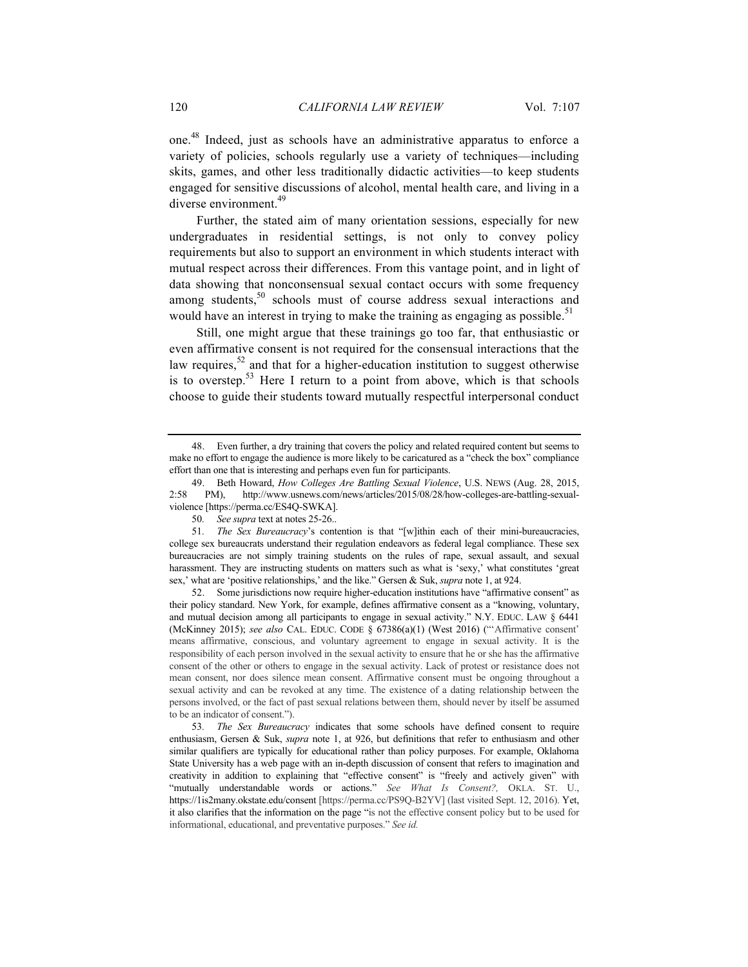one. <sup>48</sup> Indeed, just as schools have an administrative apparatus to enforce a variety of policies, schools regularly use a variety of techniques—including skits, games, and other less traditionally didactic activities—to keep students engaged for sensitive discussions of alcohol, mental health care, and living in a diverse environment.<sup>49</sup>

Further, the stated aim of many orientation sessions, especially for new undergraduates in residential settings, is not only to convey policy requirements but also to support an environment in which students interact with mutual respect across their differences. From this vantage point, and in light of data showing that nonconsensual sexual contact occurs with some frequency among students, $50$  schools must of course address sexual interactions and would have an interest in trying to make the training as engaging as possible.<sup>51</sup>

Still, one might argue that these trainings go too far, that enthusiastic or even affirmative consent is not required for the consensual interactions that the law requires, $52$  and that for a higher-education institution to suggest otherwise is to overstep.<sup>53</sup> Here I return to a point from above, which is that schools choose to guide their students toward mutually respectful interpersonal conduct

52. Some jurisdictions now require higher-education institutions have "affirmative consent" as their policy standard. New York, for example, defines affirmative consent as a "knowing, voluntary, and mutual decision among all participants to engage in sexual activity." N.Y. EDUC. LAW § 6441 (McKinney 2015); *see also* CAL. EDUC. CODE § 67386(a)(1) (West 2016) ("'Affirmative consent' means affirmative, conscious, and voluntary agreement to engage in sexual activity. It is the responsibility of each person involved in the sexual activity to ensure that he or she has the affirmative consent of the other or others to engage in the sexual activity. Lack of protest or resistance does not mean consent, nor does silence mean consent. Affirmative consent must be ongoing throughout a sexual activity and can be revoked at any time. The existence of a dating relationship between the persons involved, or the fact of past sexual relations between them, should never by itself be assumed to be an indicator of consent.").

53*. The Sex Bureaucracy* indicates that some schools have defined consent to require enthusiasm, Gersen & Suk, *supra* note 1, at 926, but definitions that refer to enthusiasm and other similar qualifiers are typically for educational rather than policy purposes. For example, Oklahoma State University has a web page with an in-depth discussion of consent that refers to imagination and creativity in addition to explaining that "effective consent" is "freely and actively given" with "mutually understandable words or actions." *See What Is Consent?,* OKLA. ST. U., https://1is2many.okstate.edu/consent [https://perma.cc/PS9Q-B2YV] (last visited Sept. 12, 2016). Yet, it also clarifies that the information on the page "is not the effective consent policy but to be used for informational, educational, and preventative purposes." *See id.*

<sup>48.</sup> Even further, a dry training that covers the policy and related required content but seems to make no effort to engage the audience is more likely to be caricatured as a "check the box" compliance effort than one that is interesting and perhaps even fun for participants.

<sup>49.</sup> Beth Howard, *How Colleges Are Battling Sexual Violence*, U.S. NEWS (Aug. 28, 2015, 2:58 PM), http://www.usnews.com/news/articles/2015/08/28/how-colleges-are-battling-sexualviolence [https://perma.cc/ES4Q-SWKA].

<sup>50</sup>*. See supra* text at notes 25-26..

<sup>51</sup>*. The Sex Bureaucracy*'s contention is that "[w]ithin each of their mini-bureaucracies, college sex bureaucrats understand their regulation endeavors as federal legal compliance. These sex bureaucracies are not simply training students on the rules of rape, sexual assault, and sexual harassment. They are instructing students on matters such as what is 'sexy,' what constitutes 'great sex,' what are 'positive relationships,' and the like." Gersen & Suk, *supra* note 1, at 924.